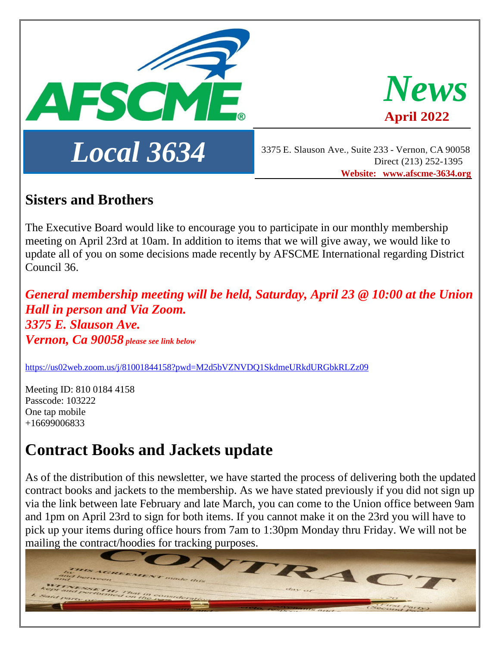



3375 E. Slauson Ave., Suite 233 - Vernon, CA 90058 Direct (213) 252-1395 **Website: [www.afscme-3634.org](http://www.afscme-3634.org/)**

#### **Sisters and Brothers**

The Executive Board would like to encourage you to participate in our monthly membership meeting on April 23rd at 10am. In addition to items that we will give away, we would like to update all of you on some decisions made recently by AFSCME International regarding District Council 36.

*General membership meeting will be held, Saturday, April 23 @ 10:00 at the Union Hall in person and Via Zoom. 3375 E. Slauson Ave. Vernon, Ca 90058 please see link below*

<https://us02web.zoom.us/j/81001844158?pwd=M2d5bVZNVDQ1SkdmeURkdURGbkRLZz09>

Meeting ID: 810 0184 4158 Passcode: 103222 One tap mobile +16699006833

## **Contract Books and Jackets update**

As of the distribution of this newsletter, we have started the process of delivering both the updated contract books and jackets to the membership. As we have stated previously if you did not sign up via the link between late February and late March, you can come to the Union office between 9am and 1pm on April 23rd to sign for both items. If you cannot make it on the 23rd you will have to pick up your items during office hours from 7am to 1:30pm Monday thru Friday. We will not be mailing the contract/hoodies for tracking purposes.

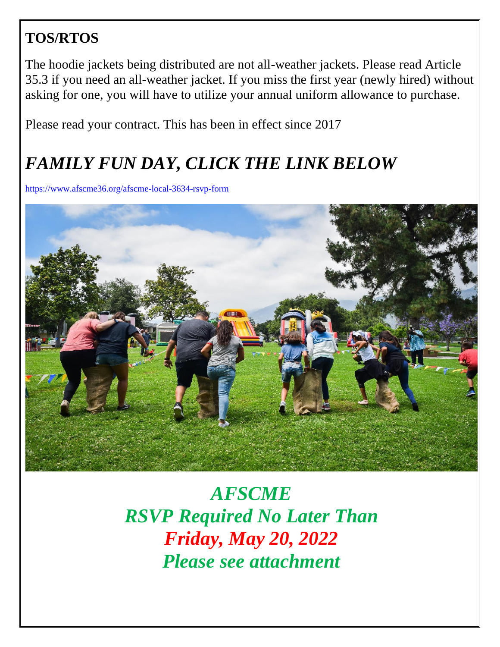# **TOS/RTOS**

The hoodie jackets being distributed are not all-weather jackets. Please read Article 35.3 if you need an all-weather jacket. If you miss the first year (newly hired) without asking for one, you will have to utilize your annual uniform allowance to purchase.

Please read your contract. This has been in effect since 2017

# *FAMILY FUN DAY, CLICK THE LINK BELOW*

<https://www.afscme36.org/afscme-local-3634-rsvp-form>



*AFSCME RSVP Required No Later Than Friday, May 20, 2022 Please see attachment*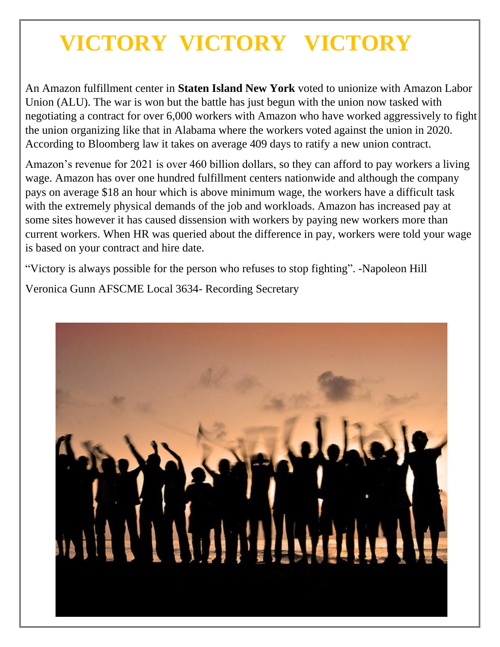# **VICTORY VICTORY VICTORY**

An Amazon fulfillment center in **Staten Island New York** voted to unionize with Amazon Labor Union (ALU). The war is won but the battle has just begun with the union now tasked with negotiating a contract for over 6,000 workers with Amazon who have worked aggressively to fight the union organizing like that in Alabama where the workers voted against the union in 2020. According to Bloomberg law it takes on average 409 days to ratify a new union contract.

Amazon's revenue for 2021 is over 460 billion dollars, so they can afford to pay workers a living wage. Amazon has over one hundred fulfillment centers nationwide and although the company pays on average \$18 an hour which is above minimum wage, the workers have a difficult task with the extremely physical demands of the job and workloads. Amazon has increased pay at some sites however it has caused dissension with workers by paying new workers more than current workers. When HR was queried about the difference in pay, workers were told your wage is based on your contract and hire date.

"Victory is always possible for the person who refuses to stop fighting". -Napoleon Hill

Veronica Gunn AFSCME Local 3634- Recording Secretary

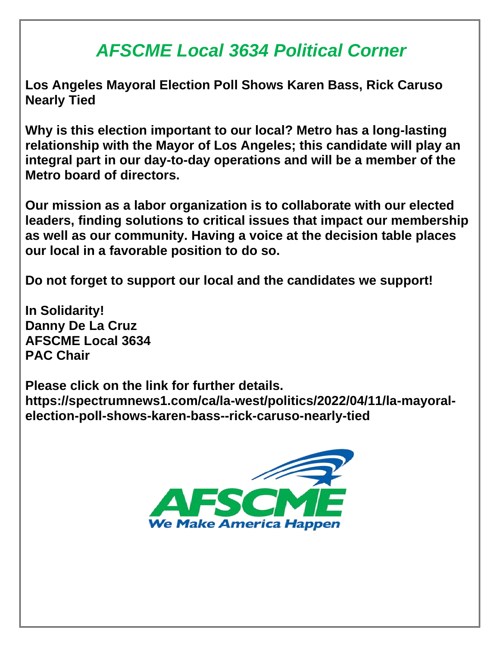# *AFSCME Local 3634 Political Corner*

**Los Angeles Mayoral Election Poll Shows Karen Bass, Rick Caruso Nearly Tied**

**Why is this election important to our local? Metro has a long-lasting relationship with the Mayor of Los Angeles; this candidate will play an integral part in our day-to-day operations and will be a member of the Metro board of directors.** 

**Our mission as a labor organization is to collaborate with our elected leaders, finding solutions to critical issues that impact our membership as well as our community. Having a voice at the decision table places our local in a favorable position to do so.** 

**Do not forget to support our local and the candidates we support!** 

**In Solidarity! Danny De La Cruz AFSCME Local 3634 PAC Chair** 

**Please click on the link for further details. https://spectrumnews1.com/ca/la-west/politics/2022/04/11/la-mayoralelection-poll-shows-karen-bass--rick-caruso-nearly-tied**